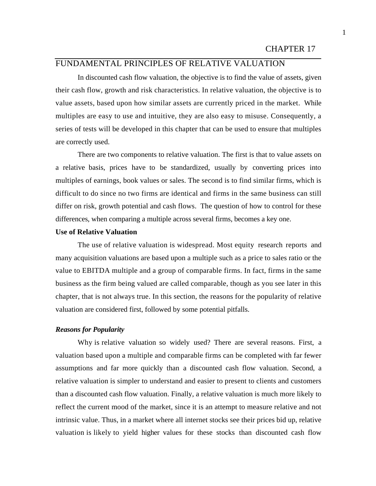## FUNDAMENTAL PRINCIPLES OF RELATIVE VALUATION

In discounted cash flow valuation, the objective is to find the value of assets, given their cash flow, growth and risk characteristics. In relative valuation, the objective is to value assets, based upon how similar assets are currently priced in the market. While multiples are easy to use and intuitive, they are also easy to misuse. Consequently, a series of tests will be developed in this chapter that can be used to ensure that multiples are correctly used.

There are two components to relative valuation. The first is that to value assets on a relative basis, prices have to be standardized, usually by converting prices into multiples of earnings, book values or sales. The second is to find similar firms, which is difficult to do since no two firms are identical and firms in the same business can still differ on risk, growth potential and cash flows. The question of how to control for these differences, when comparing a multiple across several firms, becomes a key one.

## **Use of Relative Valuation**

The use of relative valuation is widespread. Most equity research reports and many acquisition valuations are based upon a multiple such as a price to sales ratio or the value to EBITDA multiple and a group of comparable firms. In fact, firms in the same business as the firm being valued are called comparable, though as you see later in this chapter, that is not always true. In this section, the reasons for the popularity of relative valuation are considered first, followed by some potential pitfalls.

## *Reasons for Popularity*

Why is relative valuation so widely used? There are several reasons. First, a valuation based upon a multiple and comparable firms can be completed with far fewer assumptions and far more quickly than a discounted cash flow valuation. Second, a relative valuation is simpler to understand and easier to present to clients and customers than a discounted cash flow valuation. Finally, a relative valuation is much more likely to reflect the current mood of the market, since it is an attempt to measure relative and not intrinsic value. Thus, in a market where all internet stocks see their prices bid up, relative valuation is likely to yield higher values for these stocks than discounted cash flow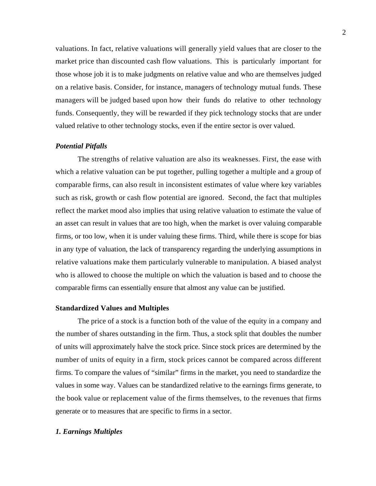valuations. In fact, relative valuations will generally yield values that are closer to the market price than discounted cash flow valuations. This is particularly important for those whose job it is to make judgments on relative value and who are themselves judged on a relative basis. Consider, for instance, managers of technology mutual funds. These managers will be judged based upon how their funds do relative to other technology funds. Consequently, they will be rewarded if they pick technology stocks that are under valued relative to other technology stocks, even if the entire sector is over valued.

## *Potential Pitfalls*

The strengths of relative valuation are also its weaknesses. First, the ease with which a relative valuation can be put together, pulling together a multiple and a group of comparable firms, can also result in inconsistent estimates of value where key variables such as risk, growth or cash flow potential are ignored. Second, the fact that multiples reflect the market mood also implies that using relative valuation to estimate the value of an asset can result in values that are too high, when the market is over valuing comparable firms, or too low, when it is under valuing these firms. Third, while there is scope for bias in any type of valuation, the lack of transparency regarding the underlying assumptions in relative valuations make them particularly vulnerable to manipulation. A biased analyst who is allowed to choose the multiple on which the valuation is based and to choose the comparable firms can essentially ensure that almost any value can be justified.

#### **Standardized Values and Multiples**

The price of a stock is a function both of the value of the equity in a company and the number of shares outstanding in the firm. Thus, a stock split that doubles the number of units will approximately halve the stock price. Since stock prices are determined by the number of units of equity in a firm, stock prices cannot be compared across different firms. To compare the values of "similar" firms in the market, you need to standardize the values in some way. Values can be standardized relative to the earnings firms generate, to the book value or replacement value of the firms themselves, to the revenues that firms generate or to measures that are specific to firms in a sector.

## *1. Earnings Multiples*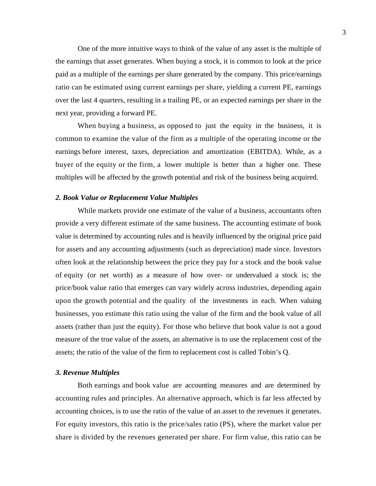One of the more intuitive ways to think of the value of any asset is the multiple of the earnings that asset generates. When buying a stock, it is common to look at the price paid as a multiple of the earnings per share generated by the company. This price/earnings ratio can be estimated using current earnings per share, yielding a current PE, earnings over the last 4 quarters, resulting in a trailing PE, or an expected earnings per share in the next year, providing a forward PE.

When buying a business, as opposed to just the equity in the business, it is common to examine the value of the firm as a multiple of the operating income or the earnings before interest, taxes, depreciation and amortization (EBITDA). While, as a buyer of the equity or the firm, a lower multiple is better than a higher one. These multiples will be affected by the growth potential and risk of the business being acquired.

#### *2. Book Value or Replacement Value Multiples*

While markets provide one estimate of the value of a business, accountants often provide a very different estimate of the same business. The accounting estimate of book value is determined by accounting rules and is heavily influenced by the original price paid for assets and any accounting adjustments (such as depreciation) made since. Investors often look at the relationship between the price they pay for a stock and the book value of equity (or net worth) as a measure of how over- or undervalued a stock is; the price/book value ratio that emerges can vary widely across industries, depending again upon the growth potential and the quality of the investments in each. When valuing businesses, you estimate this ratio using the value of the firm and the book value of all assets (rather than just the equity). For those who believe that book value is not a good measure of the true value of the assets, an alternative is to use the replacement cost of the assets; the ratio of the value of the firm to replacement cost is called Tobin's Q.

## *3. Revenue Multiples*

Both earnings and book value are accounting measures and are determined by accounting rules and principles. An alternative approach, which is far less affected by accounting choices, is to use the ratio of the value of an asset to the revenues it generates. For equity investors, this ratio is the price/sales ratio (PS), where the market value per share is divided by the revenues generated per share. For firm value, this ratio can be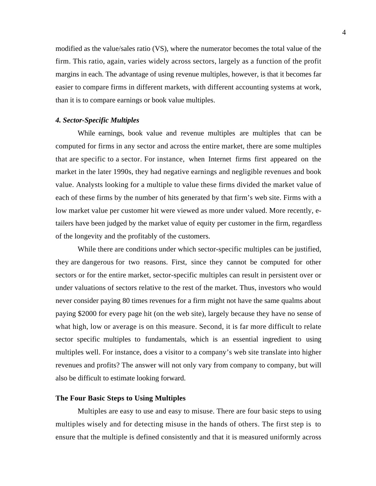modified as the value/sales ratio (VS), where the numerator becomes the total value of the firm. This ratio, again, varies widely across sectors, largely as a function of the profit margins in each. The advantage of using revenue multiples, however, is that it becomes far easier to compare firms in different markets, with different accounting systems at work, than it is to compare earnings or book value multiples.

## *4. Sector-Specific Multiples*

While earnings, book value and revenue multiples are multiples that can be computed for firms in any sector and across the entire market, there are some multiples that are specific to a sector. For instance, when Internet firms first appeared on the market in the later 1990s, they had negative earnings and negligible revenues and book value. Analysts looking for a multiple to value these firms divided the market value of each of these firms by the number of hits generated by that firm's web site. Firms with a low market value per customer hit were viewed as more under valued. More recently, etailers have been judged by the market value of equity per customer in the firm, regardless of the longevity and the profitably of the customers.

While there are conditions under which sector-specific multiples can be justified, they are dangerous for two reasons. First, since they cannot be computed for other sectors or for the entire market, sector-specific multiples can result in persistent over or under valuations of sectors relative to the rest of the market. Thus, investors who would never consider paying 80 times revenues for a firm might not have the same qualms about paying \$2000 for every page hit (on the web site), largely because they have no sense of what high, low or average is on this measure. Second, it is far more difficult to relate sector specific multiples to fundamentals, which is an essential ingredient to using multiples well. For instance, does a visitor to a company's web site translate into higher revenues and profits? The answer will not only vary from company to company, but will also be difficult to estimate looking forward.

## **The Four Basic Steps to Using Multiples**

Multiples are easy to use and easy to misuse. There are four basic steps to using multiples wisely and for detecting misuse in the hands of others. The first step is to ensure that the multiple is defined consistently and that it is measured uniformly across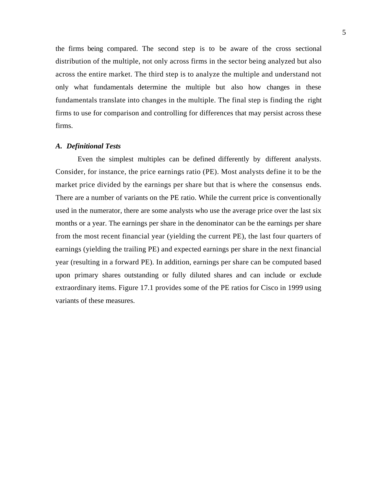the firms being compared. The second step is to be aware of the cross sectional distribution of the multiple, not only across firms in the sector being analyzed but also across the entire market. The third step is to analyze the multiple and understand not only what fundamentals determine the multiple but also how changes in these fundamentals translate into changes in the multiple. The final step is finding the right firms to use for comparison and controlling for differences that may persist across these firms.

## *A. Definitional Tests*

Even the simplest multiples can be defined differently by different analysts. Consider, for instance, the price earnings ratio (PE). Most analysts define it to be the market price divided by the earnings per share but that is where the consensus ends. There are a number of variants on the PE ratio. While the current price is conventionally used in the numerator, there are some analysts who use the average price over the last six months or a year. The earnings per share in the denominator can be the earnings per share from the most recent financial year (yielding the current PE), the last four quarters of earnings (yielding the trailing PE) and expected earnings per share in the next financial year (resulting in a forward PE). In addition, earnings per share can be computed based upon primary shares outstanding or fully diluted shares and can include or exclude extraordinary items. Figure 17.1 provides some of the PE ratios for Cisco in 1999 using variants of these measures.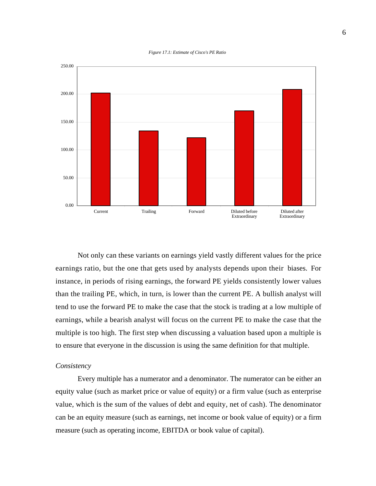*Figure 17.1: Estimate of Cisco's PE Ratio*



Not only can these variants on earnings yield vastly different values for the price earnings ratio, but the one that gets used by analysts depends upon their biases. For instance, in periods of rising earnings, the forward PE yields consistently lower values than the trailing PE, which, in turn, is lower than the current PE. A bullish analyst will tend to use the forward PE to make the case that the stock is trading at a low multiple of earnings, while a bearish analyst will focus on the current PE to make the case that the multiple is too high. The first step when discussing a valuation based upon a multiple is to ensure that everyone in the discussion is using the same definition for that multiple.

## *Consistency*

Every multiple has a numerator and a denominator. The numerator can be either an equity value (such as market price or value of equity) or a firm value (such as enterprise value, which is the sum of the values of debt and equity, net of cash). The denominator can be an equity measure (such as earnings, net income or book value of equity) or a firm measure (such as operating income, EBITDA or book value of capital).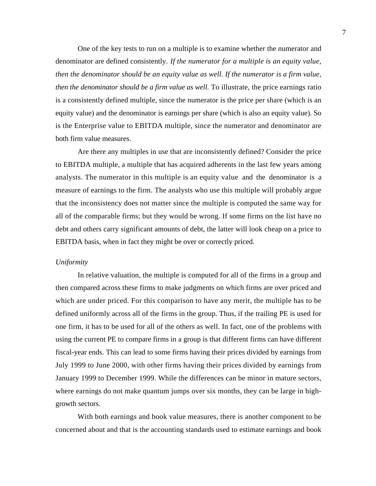One of the key tests to run on a multiple is to examine whether the numerator and denominator are defined consistently. *If the numerator for a multiple is an equity value, then the denominator should be an equity value as well. If the numerator is a firm value, then the denominator should be a firm value as well*. To illustrate, the price earnings ratio is a consistently defined multiple, since the numerator is the price per share (which is an equity value) and the denominator is earnings per share (which is also an equity value). So is the Enterprise value to EBITDA multiple, since the numerator and denominator are both firm value measures.

Are there any multiples in use that are inconsistently defined? Consider the price to EBITDA multiple, a multiple that has acquired adherents in the last few years among analysts. The numerator in this multiple is an equity value and the denominator is a measure of earnings to the firm. The analysts who use this multiple will probably argue that the inconsistency does not matter since the multiple is computed the same way for all of the comparable firms; but they would be wrong. If some firms on the list have no debt and others carry significant amounts of debt, the latter will look cheap on a price to EBITDA basis, when in fact they might be over or correctly priced.

#### *Uniformity*

In relative valuation, the multiple is computed for all of the firms in a group and then compared across these firms to make judgments on which firms are over priced and which are under priced. For this comparison to have any merit, the multiple has to be defined uniformly across all of the firms in the group. Thus, if the trailing PE is used for one firm, it has to be used for all of the others as well. In fact, one of the problems with using the current PE to compare firms in a group is that different firms can have different fiscal-year ends. This can lead to some firms having their prices divided by earnings from July 1999 to June 2000, with other firms having their prices divided by earnings from January 1999 to December 1999. While the differences can be minor in mature sectors, where earnings do not make quantum jumps over six months, they can be large in highgrowth sectors.

With both earnings and book value measures, there is another component to be concerned about and that is the accounting standards used to estimate earnings and book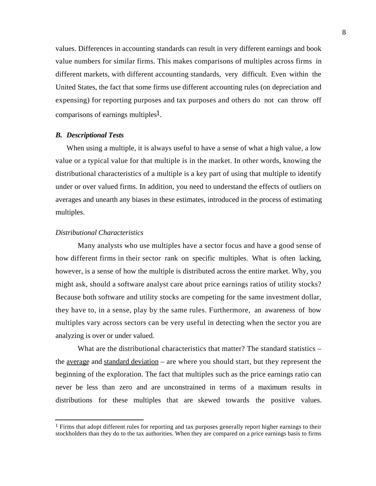values. Differences in accounting standards can result in very different earnings and book value numbers for similar firms. This makes comparisons of multiples across firms in different markets, with different accounting standards, very difficult. Even within the United States, the fact that some firms use different accounting rules (on depreciation and expensing) for reporting purposes and tax purposes and others do not can throw off comparisons of earnings multiples1.

## *B. Descriptional Tests*

When using a multiple, it is always useful to have a sense of what a high value, a low value or a typical value for that multiple is in the market. In other words, knowing the distributional characteristics of a multiple is a key part of using that multiple to identify under or over valued firms. In addition, you need to understand the effects of outliers on averages and unearth any biases in these estimates, introduced in the process of estimating multiples.

## *Distributional Characteristics*

l

Many analysts who use multiples have a sector focus and have a good sense of how different firms in their sector rank on specific multiples. What is often lacking, however, is a sense of how the multiple is distributed across the entire market. Why, you might ask, should a software analyst care about price earnings ratios of utility stocks? Because both software and utility stocks are competing for the same investment dollar, they have to, in a sense, play by the same rules. Furthermore, an awareness of how multiples vary across sectors can be very useful in detecting when the sector you are analyzing is over or under valued.

What are the distributional characteristics that matter? The standard statistics – the average and standard deviation – are where you should start, but they represent the beginning of the exploration. The fact that multiples such as the price earnings ratio can never be less than zero and are unconstrained in terms of a maximum results in distributions for these multiples that are skewed towards the positive values.

<sup>&</sup>lt;sup>1</sup> Firms that adopt different rules for reporting and tax purposes generally report higher earnings to their stockholders than they do to the tax authorities. When they are compared on a price earnings basis to firms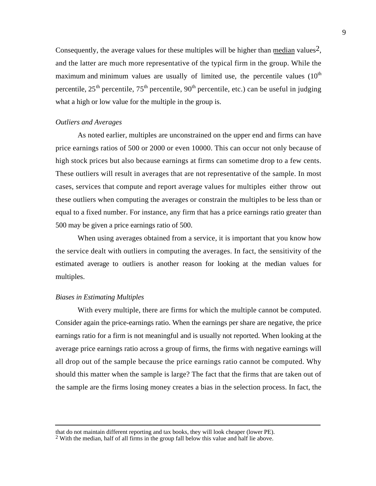Consequently, the average values for these multiples will be higher than median values<sup>2</sup>, and the latter are much more representative of the typical firm in the group. While the maximum and minimum values are usually of limited use, the percentile values  $(10<sup>th</sup>$ percentile,  $25<sup>th</sup>$  percentile,  $75<sup>th</sup>$  percentile,  $90<sup>th</sup>$  percentile, etc.) can be useful in judging what a high or low value for the multiple in the group is.

## *Outliers and Averages*

As noted earlier, multiples are unconstrained on the upper end and firms can have price earnings ratios of 500 or 2000 or even 10000. This can occur not only because of high stock prices but also because earnings at firms can sometime drop to a few cents. These outliers will result in averages that are not representative of the sample. In most cases, services that compute and report average values for multiples either throw out these outliers when computing the averages or constrain the multiples to be less than or equal to a fixed number. For instance, any firm that has a price earnings ratio greater than 500 may be given a price earnings ratio of 500.

When using averages obtained from a service, it is important that you know how the service dealt with outliers in computing the averages. In fact, the sensitivity of the estimated average to outliers is another reason for looking at the median values for multiples.

## *Biases in Estimating Multiples*

l

With every multiple, there are firms for which the multiple cannot be computed. Consider again the price-earnings ratio. When the earnings per share are negative, the price earnings ratio for a firm is not meaningful and is usually not reported. When looking at the average price earnings ratio across a group of firms, the firms with negative earnings will all drop out of the sample because the price earnings ratio cannot be computed. Why should this matter when the sample is large? The fact that the firms that are taken out of the sample are the firms losing money creates a bias in the selection process. In fact, the

that do not maintain different reporting and tax books, they will look cheaper (lower PE).

<sup>2</sup> With the median, half of all firms in the group fall below this value and half lie above.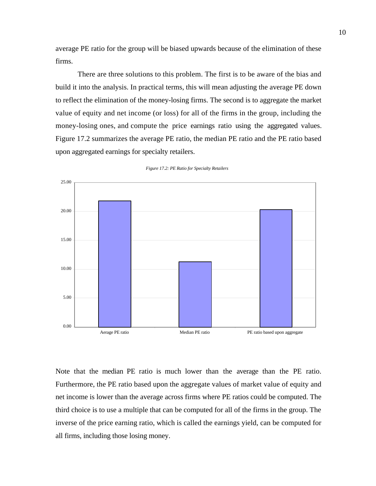average PE ratio for the group will be biased upwards because of the elimination of these firms.

There are three solutions to this problem. The first is to be aware of the bias and build it into the analysis. In practical terms, this will mean adjusting the average PE down to reflect the elimination of the money-losing firms. The second is to aggregate the market value of equity and net income (or loss) for all of the firms in the group, including the money-losing ones, and compute the price earnings ratio using the aggregated values. Figure 17.2 summarizes the average PE ratio, the median PE ratio and the PE ratio based upon aggregated earnings for specialty retailers.





Note that the median PE ratio is much lower than the average than the PE ratio. Furthermore, the PE ratio based upon the aggregate values of market value of equity and net income is lower than the average across firms where PE ratios could be computed. The third choice is to use a multiple that can be computed for all of the firms in the group. The inverse of the price earning ratio, which is called the earnings yield, can be computed for all firms, including those losing money.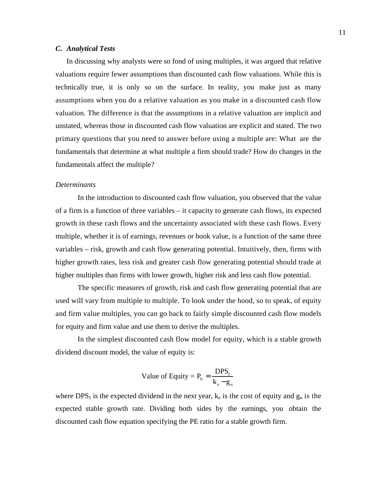## *C. Analytical Tests*

In discussing why analysts were so fond of using multiples, it was argued that relative valuations require fewer assumptions than discounted cash flow valuations. While this is technically true, it is only so on the surface. In reality, you make just as many assumptions when you do a relative valuation as you make in a discounted cash flow valuation. The difference is that the assumptions in a relative valuation are implicit and unstated, whereas those in discounted cash flow valuation are explicit and stated. The two primary questions that you need to answer before using a multiple are: What are the fundamentals that determine at what multiple a firm should trade? How do changes in the fundamentals affect the multiple?

#### *Determinants*

In the introduction to discounted cash flow valuation, you observed that the value of a firm is a function of three variables – it capacity to generate cash flows, its expected growth in these cash flows and the uncertainty associated with these cash flows. Every multiple, whether it is of earnings, revenues or book value, is a function of the same three variables – risk, growth and cash flow generating potential. Intuitively, then, firms with higher growth rates, less risk and greater cash flow generating potential should trade at higher multiples than firms with lower growth, higher risk and less cash flow potential.

The specific measures of growth, risk and cash flow generating potential that are used will vary from multiple to multiple. To look under the hood, so to speak, of equity and firm value multiples, you can go back to fairly simple discounted cash flow models for equity and firm value and use them to derive the multiples.

In the simplest discounted cash flow model for equity, which is a stable growth dividend discount model, the value of equity is:

Value of Equity = 
$$
P_0 = \frac{DPS_1}{k_e - g_n}
$$

where  $DPS_1$  is the expected dividend in the next year,  $k_e$  is the cost of equity and  $g_n$  is the expected stable growth rate. Dividing both sides by the earnings, you obtain the discounted cash flow equation specifying the PE ratio for a stable growth firm.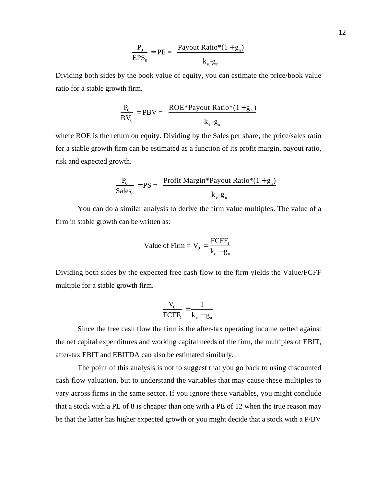$$
\frac{P_0}{EPS_0} = PE = \frac{Payout Ratio*(1 + g_n)}{k_e - g_n}
$$

Dividing both sides by the book value of equity, you can estimate the price/book value ratio for a stable growth firm.

$$
\frac{P_0}{BV_0} = PBV = \frac{ROE*Payout Ratio*(1+g_n)}{k_e-g_n}
$$

where ROE is the return on equity. Dividing by the Sales per share, the price/sales ratio for a stable growth firm can be estimated as a function of its profit margin, payout ratio, risk and expected growth.

$$
\frac{P_0}{\text{Sales}_0} = PS = \frac{\text{Profit Margin*Payout Ratio*}(1 + g_n)}{k_e - g_n}
$$

You can do a similar analysis to derive the firm value multiples. The value of a firm in stable growth can be written as:

Value of Firm = 
$$
V_0 = \frac{FCFF_1}{k_c - g_n}
$$

Dividing both sides by the expected free cash flow to the firm yields the Value/FCFF multiple for a stable growth firm.

$$
\frac{\mathbf{V}_0}{\text{FCFF}_1} = \frac{1}{\mathbf{k}_c - \mathbf{g}_n}
$$

Since the free cash flow the firm is the after-tax operating income netted against the net capital expenditures and working capital needs of the firm, the multiples of EBIT, after-tax EBIT and EBITDA can also be estimated similarly.

The point of this analysis is not to suggest that you go back to using discounted cash flow valuation, but to understand the variables that may cause these multiples to vary across firms in the same sector. If you ignore these variables, you might conclude that a stock with a PE of 8 is cheaper than one with a PE of 12 when the true reason may be that the latter has higher expected growth or you might decide that a stock with a P/BV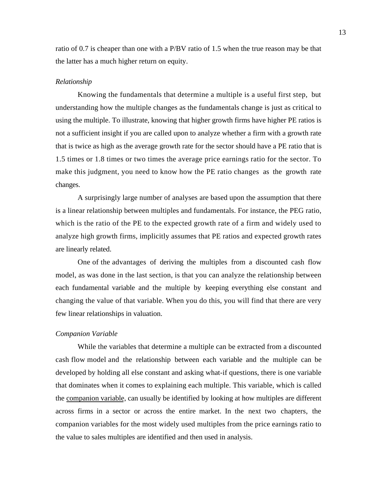ratio of 0.7 is cheaper than one with a P/BV ratio of 1.5 when the true reason may be that the latter has a much higher return on equity.

## *Relationship*

Knowing the fundamentals that determine a multiple is a useful first step, but understanding how the multiple changes as the fundamentals change is just as critical to using the multiple. To illustrate, knowing that higher growth firms have higher PE ratios is not a sufficient insight if you are called upon to analyze whether a firm with a growth rate that is twice as high as the average growth rate for the sector should have a PE ratio that is 1.5 times or 1.8 times or two times the average price earnings ratio for the sector. To make this judgment, you need to know how the PE ratio changes as the growth rate changes.

A surprisingly large number of analyses are based upon the assumption that there is a linear relationship between multiples and fundamentals. For instance, the PEG ratio, which is the ratio of the PE to the expected growth rate of a firm and widely used to analyze high growth firms, implicitly assumes that PE ratios and expected growth rates are linearly related.

One of the advantages of deriving the multiples from a discounted cash flow model, as was done in the last section, is that you can analyze the relationship between each fundamental variable and the multiple by keeping everything else constant and changing the value of that variable. When you do this, you will find that there are very few linear relationships in valuation.

## *Companion Variable*

While the variables that determine a multiple can be extracted from a discounted cash flow model and the relationship between each variable and the multiple can be developed by holding all else constant and asking what-if questions, there is one variable that dominates when it comes to explaining each multiple. This variable, which is called the companion variable, can usually be identified by looking at how multiples are different across firms in a sector or across the entire market. In the next two chapters, the companion variables for the most widely used multiples from the price earnings ratio to the value to sales multiples are identified and then used in analysis.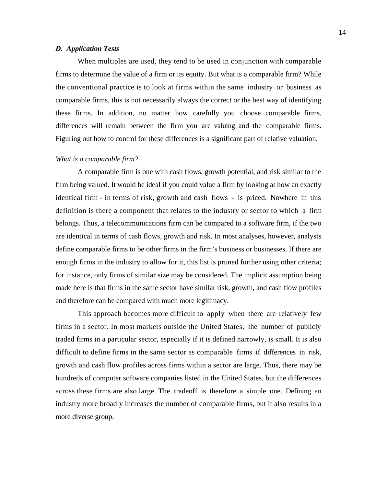## *D. Application Tests*

When multiples are used, they tend to be used in conjunction with comparable firms to determine the value of a firm or its equity. But what is a comparable firm? While the conventional practice is to look at firms within the same industry or business as comparable firms, this is not necessarily always the correct or the best way of identifying these firms. In addition, no matter how carefully you choose comparable firms, differences will remain between the firm you are valuing and the comparable firms. Figuring out how to control for these differences is a significant part of relative valuation.

### *What is a comparable firm?*

A comparable firm is one with cash flows, growth potential, and risk similar to the firm being valued. It would be ideal if you could value a firm by looking at how an exactly identical firm - in terms of risk, growth and cash flows - is priced. Nowhere in this definition is there a component that relates to the industry or sector to which a firm belongs. Thus, a telecommunications firm can be compared to a software firm, if the two are identical in terms of cash flows, growth and risk. In most analyses, however, analysts define comparable firms to be other firms in the firm's business or businesses. If there are enough firms in the industry to allow for it, this list is pruned further using other criteria; for instance, only firms of similar size may be considered. The implicit assumption being made here is that firms in the same sector have similar risk, growth, and cash flow profiles and therefore can be compared with much more legitimacy.

This approach becomes more difficult to apply when there are relatively few firms in a sector. In most markets outside the United States, the number of publicly traded firms in a particular sector, especially if it is defined narrowly, is small. It is also difficult to define firms in the same sector as comparable firms if differences in risk, growth and cash flow profiles across firms within a sector are large. Thus, there may be hundreds of computer software companies listed in the United States, but the differences across these firms are also large. The tradeoff is therefore a simple one. Defining an industry more broadly increases the number of comparable firms, but it also results in a more diverse group.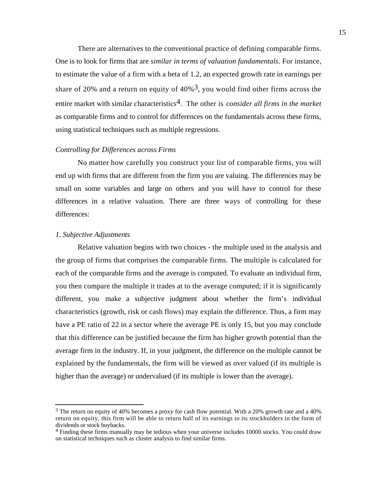There are alternatives to the conventional practice of defining comparable firms. One is to look for firms that are *similar in terms of valuation fundamentals*. For instance, to estimate the value of a firm with a beta of 1.2, an expected growth rate in earnings per share of 20% and a return on equity of  $40\frac{3}{3}$ , you would find other firms across the entire market with similar characteristics4. The other is *consider all firms in the market* as comparable firms and to control for differences on the fundamentals across these firms, using statistical techniques such as multiple regressions.

## *Controlling for Differences across Firms*

No matter how carefully you construct your list of comparable firms, you will end up with firms that are different from the firm you are valuing. The differences may be small on some variables and large on others and you will have to control for these differences in a relative valuation. There are three ways of controlling for these differences:

#### *1. Subjective Adjustments*

l

Relative valuation begins with two choices - the multiple used in the analysis and the group of firms that comprises the comparable firms. The multiple is calculated for each of the comparable firms and the average is computed. To evaluate an individual firm, you then compare the multiple it trades at to the average computed; if it is significantly different, you make a subjective judgment about whether the firm's individual characteristics (growth, risk or cash flows) may explain the difference. Thus, a firm may have a PE ratio of 22 in a sector where the average PE is only 15, but you may conclude that this difference can be justified because the firm has higher growth potential than the average firm in the industry. If, in your judgment, the difference on the multiple cannot be explained by the fundamentals, the firm will be viewed as over valued (if its multiple is higher than the average) or undervalued (if its multiple is lower than the average).

<sup>3</sup> The return on equity of 40% becomes a proxy for cash flow potential. With a 20% growth rate and a 40% return on equity, this firm will be able to return half of its earnings to its stockholders in the form of dividends or stock buybacks.

<sup>4</sup> Finding these firms manually may be tedious when your universe includes 10000 stocks. You could draw on statistical techniques such as cluster analysis to find similar firms.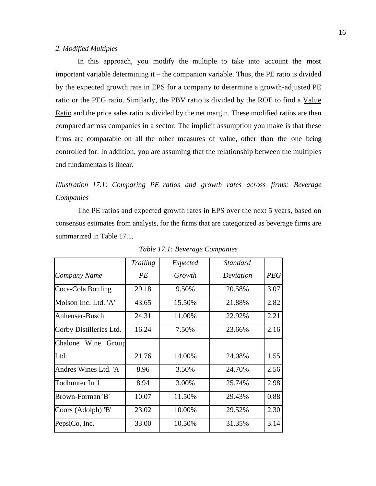## *2. Modified Multiples*

In this approach, you modify the multiple to take into account the most important variable determining it – the companion variable. Thus, the PE ratio is divided by the expected growth rate in EPS for a company to determine a growth-adjusted PE ratio or the PEG ratio. Similarly, the PBV ratio is divided by the ROE to find a Value Ratio and the price sales ratio is divided by the net margin. These modified ratios are then compared across companies in a sector. The implicit assumption you make is that these firms are comparable on all the other measures of value, other than the one being controlled for. In addition, you are assuming that the relationship between the multiples and fundamentals is linear.

# *Illustration 17.1: Comparing PE ratios and growth rates across firms: Beverage Companies*

The PE ratios and expected growth rates in EPS over the next 5 years, based on consensus estimates from analysts, for the firms that are categorized as beverage firms are summarized in Table 17.1.

|                         | Trailing | Expected | <b>Standard</b> |            |
|-------------------------|----------|----------|-----------------|------------|
| Company Name            | PE       | Growth   | Deviation       | <b>PEG</b> |
| Coca-Cola Bottling      | 29.18    | 9.50%    | 20.58%          | 3.07       |
| Molson Inc. Ltd. 'A'    | 43.65    | 15.50%   | 21.88%          | 2.82       |
| Anheuser-Busch          | 24.31    | 11.00%   | 22.92%          | 2.21       |
| Corby Distilleries Ltd. | 16.24    | 7.50%    | 23.66%          | 2.16       |
| Chalone Wine<br>Group   |          |          |                 |            |
| Ltd.                    | 21.76    | 14.00%   | 24.08%          | 1.55       |
| Andres Wines Ltd. 'A'   | 8.96     | 3.50%    | 24.70%          | 2.56       |
| Todhunter Int'l         | 8.94     | 3.00%    | 25.74%          | 2.98       |
| Brown-Forman 'B'        | 10.07    | 11.50%   | 29.43%          | 0.88       |
| Coors (Adolph) 'B'      | 23.02    | 10.00%   | 29.52%          | 2.30       |
| PepsiCo, Inc.           | 33.00    | 10.50%   | 31.35%          | 3.14       |

*Table 17.1: Beverage Companies*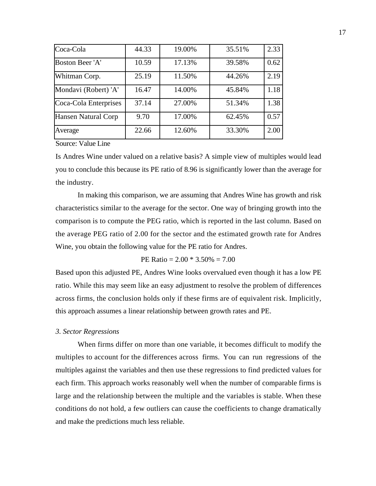| Coca-Cola             | 44.33 | 19.00% | 35.51% | 2.33 |
|-----------------------|-------|--------|--------|------|
| Boston Beer 'A'       | 10.59 | 17.13% | 39.58% | 0.62 |
| Whitman Corp.         | 25.19 | 11.50% | 44.26% | 2.19 |
| Mondavi (Robert) 'A'  | 16.47 | 14.00% | 45.84% | 1.18 |
| Coca-Cola Enterprises | 37.14 | 27.00% | 51.34% | 1.38 |
| Hansen Natural Corp   | 9.70  | 17.00% | 62.45% | 0.57 |
| Average               | 22.66 | 12.60% | 33.30% | 2.00 |

Source: Value Line

Is Andres Wine under valued on a relative basis? A simple view of multiples would lead you to conclude this because its PE ratio of 8.96 is significantly lower than the average for the industry.

In making this comparison, we are assuming that Andres Wine has growth and risk characteristics similar to the average for the sector. One way of bringing growth into the comparison is to compute the PEG ratio, which is reported in the last column. Based on the average PEG ratio of 2.00 for the sector and the estimated growth rate for Andres Wine, you obtain the following value for the PE ratio for Andres.

PE Ratio = 2.00 \* 3.50% = 7.00

Based upon this adjusted PE, Andres Wine looks overvalued even though it has a low PE ratio. While this may seem like an easy adjustment to resolve the problem of differences across firms, the conclusion holds only if these firms are of equivalent risk. Implicitly, this approach assumes a linear relationship between growth rates and PE.

## *3. Sector Regressions*

When firms differ on more than one variable, it becomes difficult to modify the multiples to account for the differences across firms. You can run regressions of the multiples against the variables and then use these regressions to find predicted values for each firm. This approach works reasonably well when the number of comparable firms is large and the relationship between the multiple and the variables is stable. When these conditions do not hold, a few outliers can cause the coefficients to change dramatically and make the predictions much less reliable.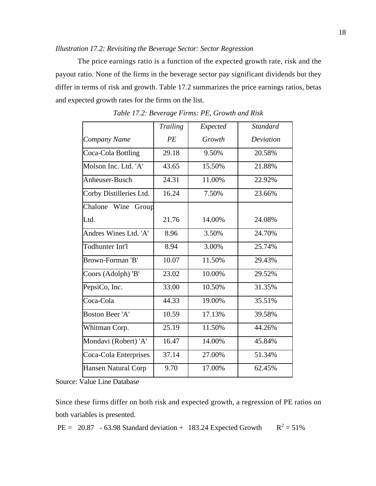## *Illustration 17.2: Revisiting the Beverage Sector: Sector Regression*

The price earnings ratio is a function of the expected growth rate, risk and the payout ratio. None of the firms in the beverage sector pay significant dividends but they differ in terms of risk and growth. Table 17.2 summarizes the price earnings ratios, betas and expected growth rates for the firms on the list.

|                         | Trailing | Expected | <b>Standard</b> |
|-------------------------|----------|----------|-----------------|
| Company Name            | PE       | Growth   | Deviation       |
| Coca-Cola Bottling      | 29.18    | 9.50%    | 20.58%          |
| Molson Inc. Ltd. 'A'    | 43.65    | 15.50%   | 21.88%          |
| Anheuser-Busch          | 24.31    | 11.00%   | 22.92%          |
| Corby Distilleries Ltd. | 16.24    | 7.50%    | 23.66%          |
| Chalone Wine<br>Group   |          |          |                 |
| Ltd.                    | 21.76    | 14.00%   | 24.08%          |
| Andres Wines Ltd. 'A'   | 8.96     | 3.50%    | 24.70%          |
| Todhunter Int'l         | 8.94     | 3.00%    | 25.74%          |
| Brown-Forman 'B'        | 10.07    | 11.50%   | 29.43%          |
| Coors (Adolph) 'B'      | 23.02    | 10.00%   | 29.52%          |
| PepsiCo, Inc.           | 33.00    | 10.50%   | 31.35%          |
| Coca-Cola               | 44.33    | 19.00%   | 35.51%          |
| Boston Beer 'A'         | 10.59    | 17.13%   | 39.58%          |
| Whitman Corp.           | 25.19    | 11.50%   | 44.26%          |
| Mondavi (Robert) 'A'    | 16.47    | 14.00%   | 45.84%          |
| Coca-Cola Enterprises   | 37.14    | 27.00%   | 51.34%          |
| Hansen Natural Corp     | 9.70     | 17.00%   | 62.45%          |
|                         |          |          |                 |

*Table 17.2: Beverage Firms: PE, Growth and Risk*

Source: Value Line Database

Since these firms differ on both risk and expected growth, a regression of PE ratios on both variables is presented.

 $PE = 20.87 - 63.98$  Standard deviation + 183.24 Expected Growth  $x^2 = 51\%$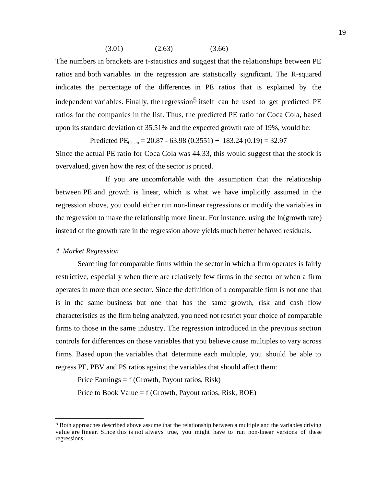$(3.01)$   $(2.63)$   $(3.66)$ 

The numbers in brackets are t-statistics and suggest that the relationships between PE ratios and both variables in the regression are statistically significant. The R-squared indicates the percentage of the differences in PE ratios that is explained by the independent variables. Finally, the regression<sup>5</sup> itself can be used to get predicted PE ratios for the companies in the list. Thus, the predicted PE ratio for Coca Cola, based upon its standard deviation of 35.51% and the expected growth rate of 19%, would be:

Predicted PE<sub>Cisco</sub> = 20.87 - 63.98 (0.3551) + 183.24 (0.19) = 32.97 Since the actual PE ratio for Coca Cola was 44.33, this would suggest that the stock is overvalued, given how the rest of the sector is priced.

If you are uncomfortable with the assumption that the relationship between PE and growth is linear, which is what we have implicitly assumed in the regression above, you could either run non-linear regressions or modify the variables in the regression to make the relationship more linear. For instance, using the ln(growth rate) instead of the growth rate in the regression above yields much better behaved residuals.

## *4. Market Regression*

l

Searching for comparable firms within the sector in which a firm operates is fairly restrictive, especially when there are relatively few firms in the sector or when a firm operates in more than one sector. Since the definition of a comparable firm is not one that is in the same business but one that has the same growth, risk and cash flow characteristics as the firm being analyzed, you need not restrict your choice of comparable firms to those in the same industry. The regression introduced in the previous section controls for differences on those variables that you believe cause multiples to vary across firms. Based upon the variables that determine each multiple, you should be able to regress PE, PBV and PS ratios against the variables that should affect them:

Price Earnings = f (Growth, Payout ratios, Risk)

Price to Book Value = f (Growth, Payout ratios, Risk, ROE)

<sup>&</sup>lt;sup>5</sup> Both approaches described above assume that the relationship between a multiple and the variables driving value are linear. Since this is not always true, you might have to run non-linear versions of these regressions.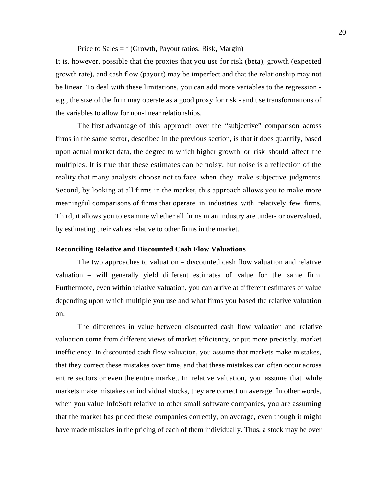Price to Sales  $= f$  (Growth, Payout ratios, Risk, Margin)

It is, however, possible that the proxies that you use for risk (beta), growth (expected growth rate), and cash flow (payout) may be imperfect and that the relationship may not be linear. To deal with these limitations, you can add more variables to the regression e.g., the size of the firm may operate as a good proxy for risk - and use transformations of the variables to allow for non-linear relationships.

The first advantage of this approach over the "subjective" comparison across firms in the same sector, described in the previous section, is that it does quantify, based upon actual market data, the degree to which higher growth or risk should affect the multiples. It is true that these estimates can be noisy, but noise is a reflection of the reality that many analysts choose not to face when they make subjective judgments. Second, by looking at all firms in the market, this approach allows you to make more meaningful comparisons of firms that operate in industries with relatively few firms. Third, it allows you to examine whether all firms in an industry are under- or overvalued, by estimating their values relative to other firms in the market.

## **Reconciling Relative and Discounted Cash Flow Valuations**

The two approaches to valuation – discounted cash flow valuation and relative valuation – will generally yield different estimates of value for the same firm. Furthermore, even within relative valuation, you can arrive at different estimates of value depending upon which multiple you use and what firms you based the relative valuation on.

The differences in value between discounted cash flow valuation and relative valuation come from different views of market efficiency, or put more precisely, market inefficiency. In discounted cash flow valuation, you assume that markets make mistakes, that they correct these mistakes over time, and that these mistakes can often occur across entire sectors or even the entire market. In relative valuation, you assume that while markets make mistakes on individual stocks, they are correct on average. In other words, when you value InfoSoft relative to other small software companies, you are assuming that the market has priced these companies correctly, on average, even though it might have made mistakes in the pricing of each of them individually. Thus, a stock may be over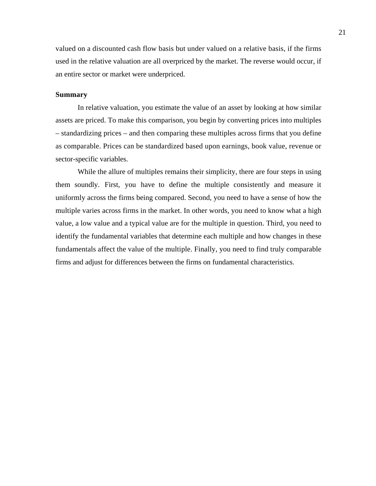valued on a discounted cash flow basis but under valued on a relative basis, if the firms used in the relative valuation are all overpriced by the market. The reverse would occur, if an entire sector or market were underpriced.

## **Summary**

In relative valuation, you estimate the value of an asset by looking at how similar assets are priced. To make this comparison, you begin by converting prices into multiples – standardizing prices – and then comparing these multiples across firms that you define as comparable. Prices can be standardized based upon earnings, book value, revenue or sector-specific variables.

While the allure of multiples remains their simplicity, there are four steps in using them soundly. First, you have to define the multiple consistently and measure it uniformly across the firms being compared. Second, you need to have a sense of how the multiple varies across firms in the market. In other words, you need to know what a high value, a low value and a typical value are for the multiple in question. Third, you need to identify the fundamental variables that determine each multiple and how changes in these fundamentals affect the value of the multiple. Finally, you need to find truly comparable firms and adjust for differences between the firms on fundamental characteristics.